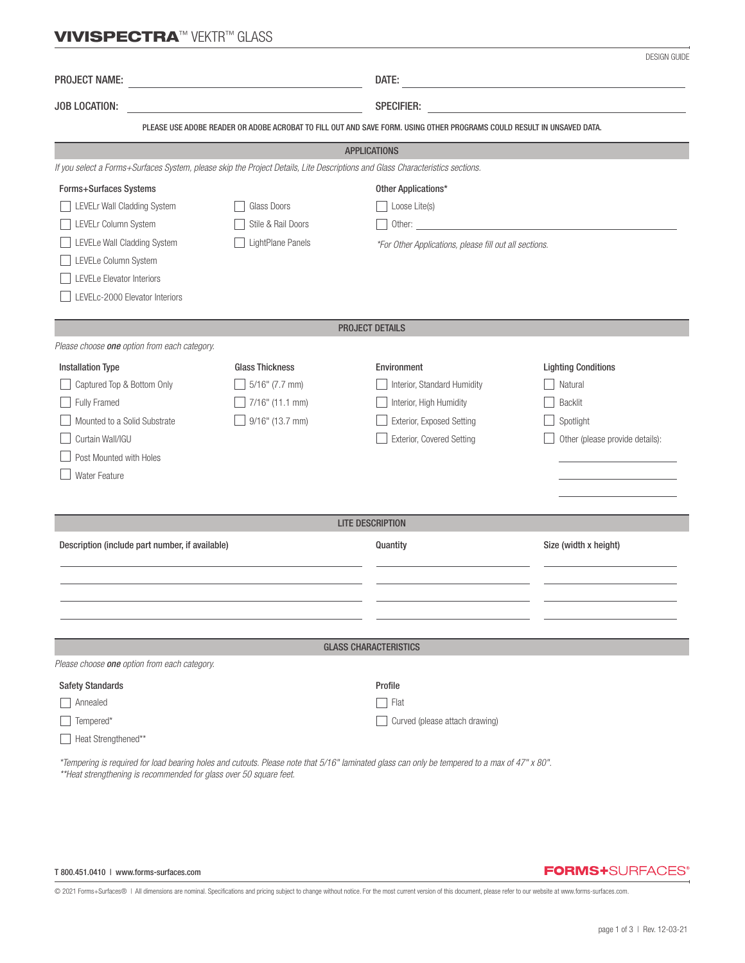## **VIVISPECTRA™ VEKTR™ GLASS**

|                                                                                                                                                      |                        |                                | <b>DESIGN GUIDE</b>                                                                                                                                                                                                            |  |  |  |  |
|------------------------------------------------------------------------------------------------------------------------------------------------------|------------------------|--------------------------------|--------------------------------------------------------------------------------------------------------------------------------------------------------------------------------------------------------------------------------|--|--|--|--|
| <b>PROJECT NAME:</b><br><u> 1980 - Johann Barn, fransk politik (d. 1980)</u>                                                                         |                        | DATE:                          | <u> 1989 - Johann Barn, mars ann an t-Amhain Aonaich an t-Aonaich an t-Aonaich an t-Aonaich an t-Aonaich an t-Aon</u>                                                                                                          |  |  |  |  |
| JOB LOCATION:                                                                                                                                        |                        | <b>SPECIFIER:</b>              |                                                                                                                                                                                                                                |  |  |  |  |
|                                                                                                                                                      |                        |                                |                                                                                                                                                                                                                                |  |  |  |  |
| PLEASE USE ADOBE READER OR ADOBE ACROBAT TO FILL OUT AND SAVE FORM. USING OTHER PROGRAMS COULD RESULT IN UNSAVED DATA.                               |                        |                                |                                                                                                                                                                                                                                |  |  |  |  |
| <b>APPLICATIONS</b><br>If you select a Forms+Surfaces System, please skip the Project Details, Lite Descriptions and Glass Characteristics sections. |                        |                                |                                                                                                                                                                                                                                |  |  |  |  |
|                                                                                                                                                      |                        |                                |                                                                                                                                                                                                                                |  |  |  |  |
| Forms+Surfaces Systems<br>LEVELr Wall Cladding System                                                                                                | Glass Doors            |                                | Other Applications*<br>Loose Lite(s)                                                                                                                                                                                           |  |  |  |  |
| LEVELr Column System                                                                                                                                 | Stile & Rail Doors     |                                | Other: contract the contract of the contract of the contract of the contract of the contract of the contract of the contract of the contract of the contract of the contract of the contract of the contract of the contract o |  |  |  |  |
| LEVELe Wall Cladding System                                                                                                                          | LightPlane Panels      |                                | *For Other Applications, please fill out all sections.                                                                                                                                                                         |  |  |  |  |
| LEVELe Column System                                                                                                                                 |                        |                                |                                                                                                                                                                                                                                |  |  |  |  |
| LEVELe Elevator Interiors                                                                                                                            |                        |                                |                                                                                                                                                                                                                                |  |  |  |  |
| LEVELc-2000 Elevator Interiors                                                                                                                       |                        |                                |                                                                                                                                                                                                                                |  |  |  |  |
|                                                                                                                                                      |                        |                                |                                                                                                                                                                                                                                |  |  |  |  |
| <b>PROJECT DETAILS</b>                                                                                                                               |                        |                                |                                                                                                                                                                                                                                |  |  |  |  |
| Please choose one option from each category.                                                                                                         |                        |                                |                                                                                                                                                                                                                                |  |  |  |  |
| <b>Installation Type</b>                                                                                                                             | <b>Glass Thickness</b> | Environment                    | <b>Lighting Conditions</b>                                                                                                                                                                                                     |  |  |  |  |
| Captured Top & Bottom Only                                                                                                                           | $5/16$ " (7.7 mm)      | Interior, Standard Humidity    | Natural                                                                                                                                                                                                                        |  |  |  |  |
| Fully Framed                                                                                                                                         | 7/16" (11.1 mm)        | Interior, High Humidity        | <b>Backlit</b>                                                                                                                                                                                                                 |  |  |  |  |
| Mounted to a Solid Substrate                                                                                                                         | 9/16" (13.7 mm)        | Exterior, Exposed Setting      | Spotlight                                                                                                                                                                                                                      |  |  |  |  |
| Curtain Wall/IGU                                                                                                                                     |                        | Exterior, Covered Setting      | Other (please provide details):                                                                                                                                                                                                |  |  |  |  |
| Post Mounted with Holes                                                                                                                              |                        |                                |                                                                                                                                                                                                                                |  |  |  |  |
| <b>Water Feature</b>                                                                                                                                 |                        |                                |                                                                                                                                                                                                                                |  |  |  |  |
|                                                                                                                                                      |                        |                                |                                                                                                                                                                                                                                |  |  |  |  |
| <b>LITE DESCRIPTION</b>                                                                                                                              |                        |                                |                                                                                                                                                                                                                                |  |  |  |  |
| Description (include part number, if available)                                                                                                      |                        | Quantity                       | Size (width x height)                                                                                                                                                                                                          |  |  |  |  |
|                                                                                                                                                      |                        |                                |                                                                                                                                                                                                                                |  |  |  |  |
|                                                                                                                                                      |                        |                                |                                                                                                                                                                                                                                |  |  |  |  |
|                                                                                                                                                      |                        |                                |                                                                                                                                                                                                                                |  |  |  |  |
|                                                                                                                                                      |                        |                                |                                                                                                                                                                                                                                |  |  |  |  |
|                                                                                                                                                      |                        |                                |                                                                                                                                                                                                                                |  |  |  |  |
| Please choose one option from each category.                                                                                                         |                        | <b>GLASS CHARACTERISTICS</b>   |                                                                                                                                                                                                                                |  |  |  |  |
|                                                                                                                                                      |                        |                                |                                                                                                                                                                                                                                |  |  |  |  |
| <b>Safety Standards</b><br>Annealed                                                                                                                  |                        | Profile<br>Flat                |                                                                                                                                                                                                                                |  |  |  |  |
| Tempered*                                                                                                                                            |                        | Curved (please attach drawing) |                                                                                                                                                                                                                                |  |  |  |  |
| Heat Strengthened**                                                                                                                                  |                        |                                |                                                                                                                                                                                                                                |  |  |  |  |
|                                                                                                                                                      |                        |                                |                                                                                                                                                                                                                                |  |  |  |  |

 *\*Tempering is required for load bearing holes and cutouts. Please note that 5/16" laminated glass can only be tempered to a max of 47" x 80". \*\*Heat strengthening is recommended for glass over 50 square feet.*

#### T 800.451.0410 | www.forms-surfaces.com

### **FORMS+**SURFACES®

© 2021 Forms+Surfaces® | All dimensions are nominal. Specifications and pricing subject to change without notice. For the most current version of this document, please refer to our website at www.forms-surfaces.com.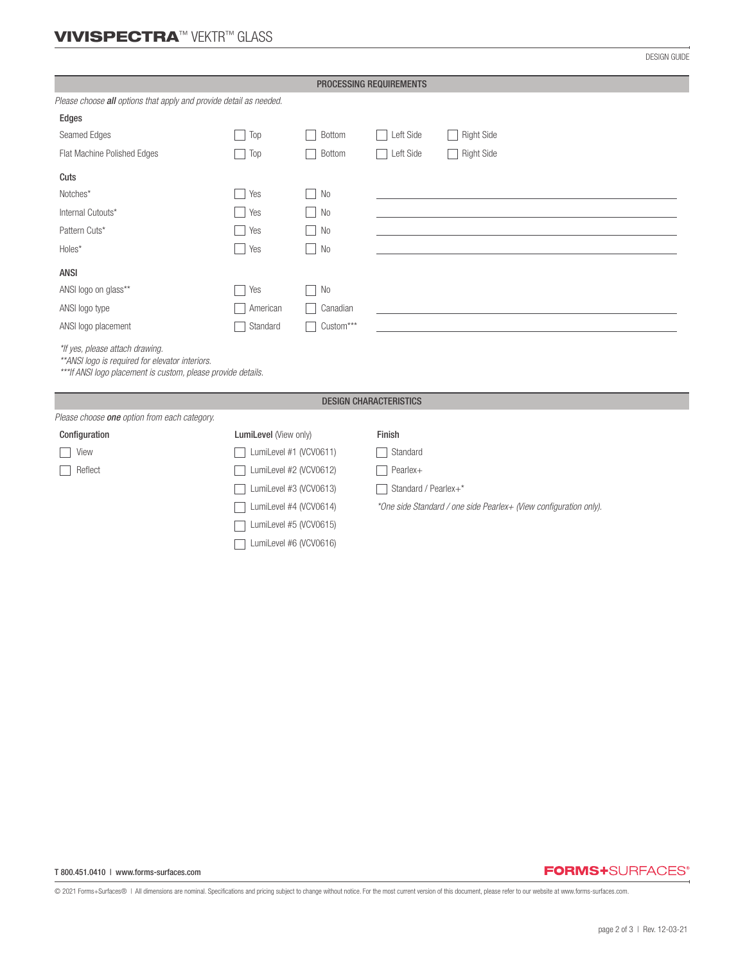# VIVISPECTRA™ VEKTR™ GLASS

DESIGN GUIDE

| PROCESSING REQUIREMENTS                                                                                                                              |                        |                |                                                                   |                   |  |  |  |
|------------------------------------------------------------------------------------------------------------------------------------------------------|------------------------|----------------|-------------------------------------------------------------------|-------------------|--|--|--|
| Please choose all options that apply and provide detail as needed.                                                                                   |                        |                |                                                                   |                   |  |  |  |
| Edges                                                                                                                                                |                        |                |                                                                   |                   |  |  |  |
| Seamed Edges                                                                                                                                         | Top                    | <b>Bottom</b>  | Left Side                                                         | <b>Right Side</b> |  |  |  |
| Flat Machine Polished Edges                                                                                                                          | Top                    | <b>Bottom</b>  | Left Side                                                         | <b>Right Side</b> |  |  |  |
| Cuts                                                                                                                                                 |                        |                |                                                                   |                   |  |  |  |
| Notches*                                                                                                                                             | Yes                    | N <sub>0</sub> |                                                                   |                   |  |  |  |
| Internal Cutouts*                                                                                                                                    | Yes                    | N <sub>0</sub> |                                                                   |                   |  |  |  |
| Pattern Cuts*                                                                                                                                        | Yes                    | N <sub>0</sub> |                                                                   |                   |  |  |  |
| Holes*                                                                                                                                               | Yes                    | N <sub>0</sub> |                                                                   |                   |  |  |  |
| <b>ANSI</b>                                                                                                                                          |                        |                |                                                                   |                   |  |  |  |
| ANSI logo on glass**                                                                                                                                 | Yes                    | N <sub>0</sub> |                                                                   |                   |  |  |  |
| ANSI logo type                                                                                                                                       | American               | Canadian       |                                                                   |                   |  |  |  |
| ANSI logo placement                                                                                                                                  | Standard               | Custom***      |                                                                   |                   |  |  |  |
| *If yes, please attach drawing.<br>** ANSI logo is required for elevator interiors.<br>*** If ANSI logo placement is custom, please provide details. |                        |                |                                                                   |                   |  |  |  |
| <b>DESIGN CHARACTERISTICS</b>                                                                                                                        |                        |                |                                                                   |                   |  |  |  |
| Please choose one option from each category.                                                                                                         |                        |                |                                                                   |                   |  |  |  |
| Configuration                                                                                                                                        | LumiLevel (View only)  |                | Finish                                                            |                   |  |  |  |
| View                                                                                                                                                 | LumiLevel #1 (VCV0611) |                | Standard                                                          |                   |  |  |  |
| Reflect                                                                                                                                              | LumiLevel #2 (VCV0612) |                | Pearlex+                                                          |                   |  |  |  |
|                                                                                                                                                      | LumiLevel #3 (VCV0613) |                | Standard / Pearlex+*                                              |                   |  |  |  |
|                                                                                                                                                      | LumiLevel #4 (VCV0614) |                | *One side Standard / one side Pearlex+ (View configuration only). |                   |  |  |  |
|                                                                                                                                                      | LumiLevel #5 (VCV0615) |                |                                                                   |                   |  |  |  |
|                                                                                                                                                      | LumiLevel #6 (VCV0616) |                |                                                                   |                   |  |  |  |

## **FORMS+**SURFACES®

© 2021 Forms+Surfaces® | All dimensions are nominal. Specifications and pricing subject to change without notice. For the most current version of this document, please refer to our website at www.forms-surfaces.com.